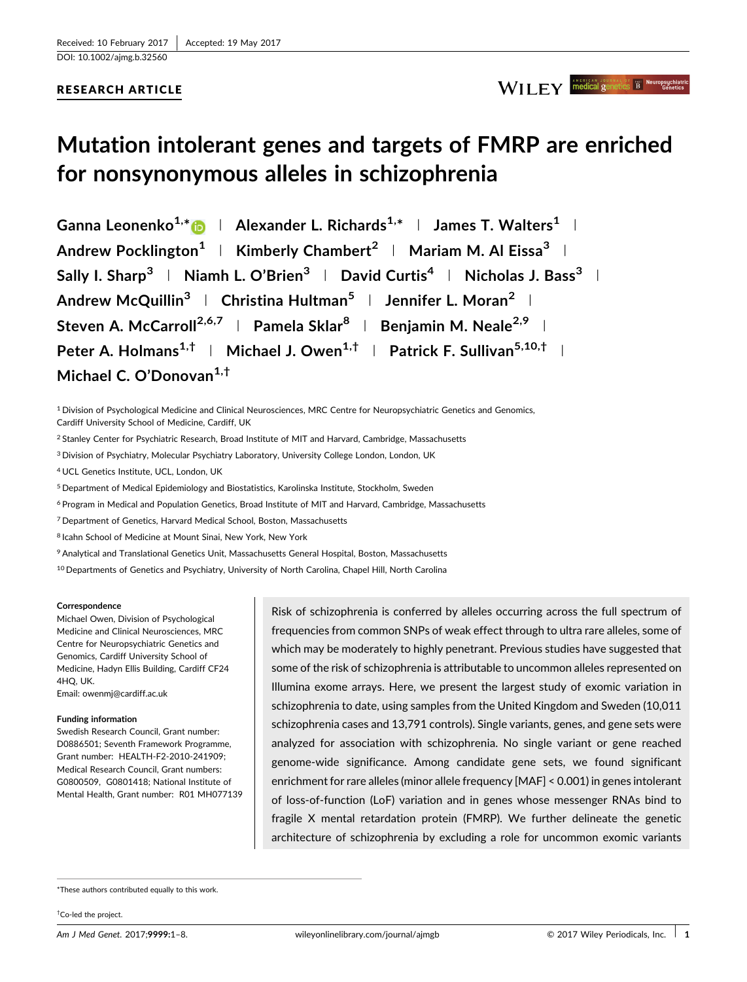## RESEARCH ARTICLE

## WILEY medical genetics B Neuropsychiat

# Mutation intolerant genes and targets of FMRP are enriched for nonsynonymous alleles in schizophrenia

Ganna Leonenko<sup>1,\*</sup> D | Alexander L. Richards<sup>1,\*</sup> | James T. Walters<sup>1</sup> | Andrew Pocklington<sup>1</sup> | Kimberly Chambert<sup>2</sup> | Mariam M. Al Eissa<sup>3</sup> | Sally I. Sharp<sup>3</sup> | Niamh L. O'Brien<sup>3</sup> | David Curtis<sup>4</sup> | Nicholas J. Bass<sup>3</sup> | Andrew McQuillin<sup>3</sup> | Christina Hultman<sup>5</sup> | Jennifer L. Moran<sup>2</sup> | Steven A. McCarroll<sup>2,6,7</sup> | Pamela Sklar<sup>8</sup> | Benjamin M. Neale<sup>2,9</sup> | Peter A. Holmans<sup>1,†</sup> | Michael J. Owen<sup>1,†</sup> | Patrick F. Sullivan<sup>5,10,†</sup> | Michael C. O'Donovan<sup>1,†</sup>

<sup>1</sup> Division of Psychological Medicine and Clinical Neurosciences, MRC Centre for Neuropsychiatric Genetics and Genomics, Cardiff University School of Medicine, Cardiff, UK

<sup>2</sup> Stanley Center for Psychiatric Research, Broad Institute of MIT and Harvard, Cambridge, Massachusetts

<sup>3</sup> Division of Psychiatry, Molecular Psychiatry Laboratory, University College London, London, UK

<sup>4</sup> UCL Genetics Institute, UCL, London, UK

<sup>5</sup> Department of Medical Epidemiology and Biostatistics, Karolinska Institute, Stockholm, Sweden

<sup>6</sup> Program in Medical and Population Genetics, Broad Institute of MIT and Harvard, Cambridge, Massachusetts

<sup>7</sup> Department of Genetics, Harvard Medical School, Boston, Massachusetts

<sup>8</sup> Icahn School of Medicine at Mount Sinai, New York, New York

9Analytical and Translational Genetics Unit, Massachusetts General Hospital, Boston, Massachusetts

<sup>10</sup> Departments of Genetics and Psychiatry, University of North Carolina, Chapel Hill, North Carolina

#### **Correspondence**

Michael Owen, Division of Psychological Medicine and Clinical Neurosciences, MRC Centre for Neuropsychiatric Genetics and Genomics, Cardiff University School of Medicine, Hadyn Ellis Building, Cardiff CF24 4HQ, UK. Email: owenmj@cardiff.ac.uk

#### Funding information

Swedish Research Council, Grant number: D0886501; Seventh Framework Programme, Grant number: HEALTH-F2-2010-241909; Medical Research Council, Grant numbers: G0800509, G0801418; National Institute of Mental Health, Grant number: R01 MH077139 Risk of schizophrenia is conferred by alleles occurring across the full spectrum of frequencies from common SNPs of weak effect through to ultra rare alleles, some of which may be moderately to highly penetrant. Previous studies have suggested that some of the risk of schizophrenia is attributable to uncommon alleles represented on Illumina exome arrays. Here, we present the largest study of exomic variation in schizophrenia to date, using samples from the United Kingdom and Sweden (10,011 schizophrenia cases and 13,791 controls). Single variants, genes, and gene sets were analyzed for association with schizophrenia. No single variant or gene reached genome-wide significance. Among candidate gene sets, we found significant enrichment for rare alleles (minor allele frequency [MAF] < 0.001) in genes intolerant of loss-of-function (LoF) variation and in genes whose messenger RNAs bind to fragile X mental retardation protein (FMRP). We further delineate the genetic architecture of schizophrenia by excluding a role for uncommon exomic variants

\*These authors contributed equally to this work.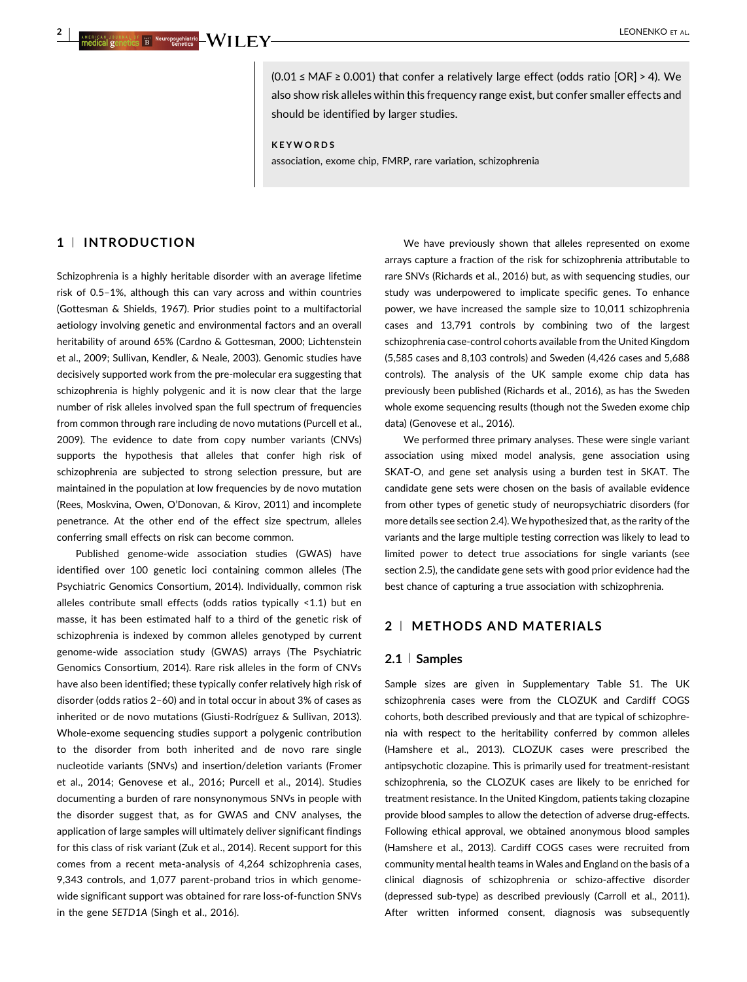$(0.01 \leq \text{MAF} \geq 0.001)$  that confer a relatively large effect (odds ratio  $[OR] > 4$ ). We also show risk alleles within this frequency range exist, but confer smaller effects and should be identified by larger studies.

KEYWORDS

association, exome chip, FMRP, rare variation, schizophrenia

## 1 <sup>|</sup> INTRODUCTION

Schizophrenia is a highly heritable disorder with an average lifetime risk of 0.5–1%, although this can vary across and within countries (Gottesman & Shields, [1967\)](#page-6-0). Prior studies point to a multifactorial aetiology involving genetic and environmental factors and an overall heritability of around 65% (Cardno & Gottesman, [2000](#page-6-0); Lichtenstein et al., [2009](#page-7-0); Sullivan, Kendler, & Neale, [2003](#page-7-0)). Genomic studies have decisively supported work from the pre-molecular era suggesting that schizophrenia is highly polygenic and it is now clear that the large number of risk alleles involved span the full spectrum of frequencies from common through rare including de novo mutations (Purcell et al., [2009\)](#page-7-0). The evidence to date from copy number variants (CNVs) supports the hypothesis that alleles that confer high risk of schizophrenia are subjected to strong selection pressure, but are maintained in the population at low frequencies by de novo mutation (Rees, Moskvina, Owen, O'Donovan, & Kirov, [2011\)](#page-7-0) and incomplete penetrance. At the other end of the effect size spectrum, alleles conferring small effects on risk can become common.

Published genome-wide association studies (GWAS) have identified over 100 genetic loci containing common alleles (The Psychiatric Genomics Consortium, [2014](#page-7-0)). Individually, common risk alleles contribute small effects (odds ratios typically <1.1) but en masse, it has been estimated half to a third of the genetic risk of schizophrenia is indexed by common alleles genotyped by current genome-wide association study (GWAS) arrays (The Psychiatric Genomics Consortium, [2014](#page-7-0)). Rare risk alleles in the form of CNVs have also been identified; these typically confer relatively high risk of disorder (odds ratios 2–60) and in total occur in about 3% of cases as inherited or de novo mutations (Giusti-Rodríguez & Sullivan, [2013](#page-6-0)). Whole-exome sequencing studies support a polygenic contribution to the disorder from both inherited and de novo rare single nucleotide variants (SNVs) and insertion/deletion variants (Fromer et al., [2014;](#page-6-0) Genovese et al., [2016](#page-6-0); Purcell et al., [2014](#page-7-0)). Studies documenting a burden of rare nonsynonymous SNVs in people with the disorder suggest that, as for GWAS and CNV analyses, the application of large samples will ultimately deliver significant findings for this class of risk variant (Zuk et al., [2014](#page-7-0)). Recent support for this comes from a recent meta-analysis of 4,264 schizophrenia cases, 9,343 controls, and 1,077 parent-proband trios in which genomewide significant support was obtained for rare loss-of-function SNVs in the gene SETD1A (Singh et al., [2016\)](#page-7-0).

We have previously shown that alleles represented on exome arrays capture a fraction of the risk for schizophrenia attributable to rare SNVs (Richards et al., [2016](#page-7-0)) but, as with sequencing studies, our study was underpowered to implicate specific genes. To enhance power, we have increased the sample size to 10,011 schizophrenia cases and 13,791 controls by combining two of the largest schizophrenia case-control cohorts available from the United Kingdom (5,585 cases and 8,103 controls) and Sweden (4,426 cases and 5,688 controls). The analysis of the UK sample exome chip data has previously been published (Richards et al., [2016\)](#page-7-0), as has the Sweden whole exome sequencing results (though not the Sweden exome chip data) (Genovese et al., [2016](#page-6-0)).

We performed three primary analyses. These were single variant association using mixed model analysis, gene association using SKAT-O, and gene set analysis using a burden test in SKAT. The candidate gene sets were chosen on the basis of available evidence from other types of genetic study of neuropsychiatric disorders (for more details see section 2.4). We hypothesized that, as the rarity of the variants and the large multiple testing correction was likely to lead to limited power to detect true associations for single variants (see section 2.5), the candidate gene sets with good prior evidence had the best chance of capturing a true association with schizophrenia.

## 2 <sup>|</sup> METHODS AND MATERIALS

#### 2.1 <sup>|</sup> Samples

Sample sizes are given in Supplementary Table S1. The UK schizophrenia cases were from the CLOZUK and Cardiff COGS cohorts, both described previously and that are typical of schizophrenia with respect to the heritability conferred by common alleles (Hamshere et al., [2013](#page-6-0)). CLOZUK cases were prescribed the antipsychotic clozapine. This is primarily used for treatment-resistant schizophrenia, so the CLOZUK cases are likely to be enriched for treatment resistance. In the United Kingdom, patients taking clozapine provide blood samples to allow the detection of adverse drug-effects. Following ethical approval, we obtained anonymous blood samples (Hamshere et al., [2013\)](#page-6-0). Cardiff COGS cases were recruited from community mental health teams in Wales and England on the basis of a clinical diagnosis of schizophrenia or schizo-affective disorder (depressed sub-type) as described previously (Carroll et al., [2011\)](#page-6-0). After written informed consent, diagnosis was subsequently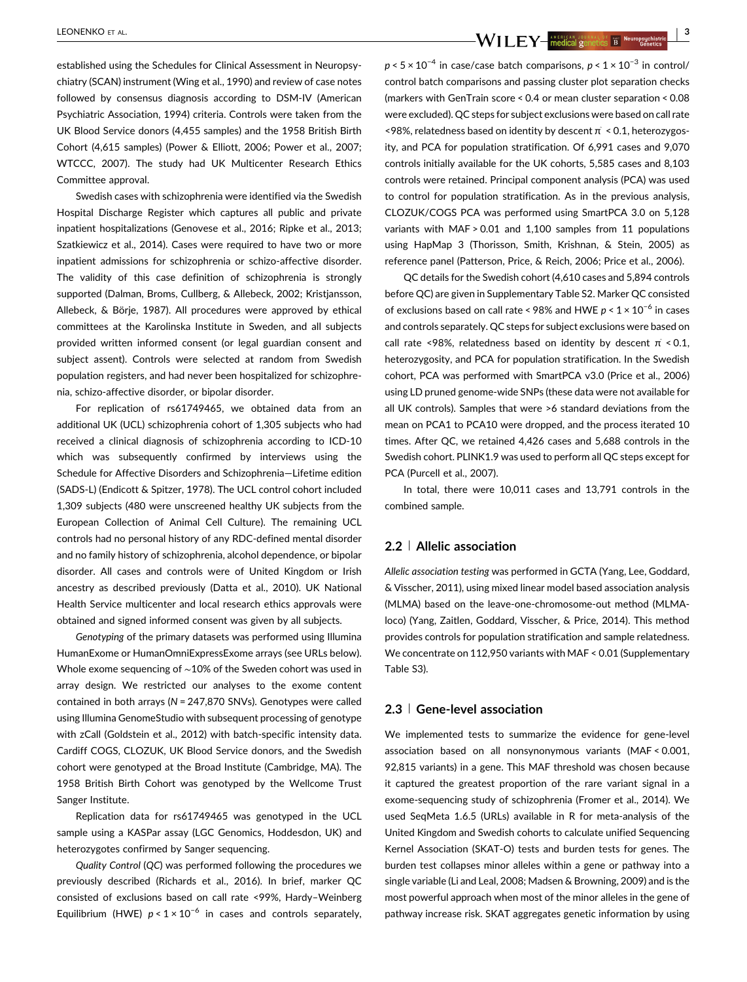LEONENKO ET AL. <sup>|</sup> <sup>3</sup>

established using the Schedules for Clinical Assessment in Neuropsychiatry (SCAN) instrument (Wing et al., [1990](#page-7-0)) and review of case notes followed by consensus diagnosis according to DSM-IV (American Psychiatric Association, [1994](#page-6-0)) criteria. Controls were taken from the UK Blood Service donors (4,455 samples) and the 1958 British Birth Cohort (4,615 samples) (Power & Elliott, [2006](#page-7-0); Power et al., [2007](#page-7-0); WTCCC, [2007\)](#page-7-0). The study had UK Multicenter Research Ethics Committee approval.

Swedish cases with schizophrenia were identified via the Swedish Hospital Discharge Register which captures all public and private inpatient hospitalizations (Genovese et al., [2016;](#page-6-0) Ripke et al., [2013](#page-7-0); Szatkiewicz et al., [2014\)](#page-7-0). Cases were required to have two or more inpatient admissions for schizophrenia or schizo-affective disorder. The validity of this case definition of schizophrenia is strongly supported (Dalman, Broms, Cullberg, & Allebeck, [2002](#page-6-0); Kristjansson, Allebeck, & Börje, [1987](#page-6-0)). All procedures were approved by ethical committees at the Karolinska Institute in Sweden, and all subjects provided written informed consent (or legal guardian consent and subject assent). Controls were selected at random from Swedish population registers, and had never been hospitalized for schizophrenia, schizo-affective disorder, or bipolar disorder.

For replication of rs61749465, we obtained data from an additional UK (UCL) schizophrenia cohort of 1,305 subjects who had received a clinical diagnosis of schizophrenia according to ICD-10 which was subsequently confirmed by interviews using the Schedule for Affective Disorders and Schizophrenia—Lifetime edition (SADS-L) (Endicott & Spitzer, [1978](#page-6-0)). The UCL control cohort included 1,309 subjects (480 were unscreened healthy UK subjects from the European Collection of Animal Cell Culture). The remaining UCL controls had no personal history of any RDC-defined mental disorder and no family history of schizophrenia, alcohol dependence, or bipolar disorder. All cases and controls were of United Kingdom or Irish ancestry as described previously (Datta et al., [2010](#page-6-0)). UK National Health Service multicenter and local research ethics approvals were obtained and signed informed consent was given by all subjects.

Genotyping of the primary datasets was performed using Illumina HumanExome or HumanOmniExpressExome arrays (see URLs below). Whole exome sequencing of ∼10% of the Sweden cohort was used in array design. We restricted our analyses to the exome content contained in both arrays (N = 247,870 SNVs). Genotypes were called using Illumina GenomeStudio with subsequent processing of genotype with zCall (Goldstein et al., [2012\)](#page-6-0) with batch-specific intensity data. Cardiff COGS, CLOZUK, UK Blood Service donors, and the Swedish cohort were genotyped at the Broad Institute (Cambridge, MA). The 1958 British Birth Cohort was genotyped by the Wellcome Trust Sanger Institute.

Replication data for rs61749465 was genotyped in the UCL sample using a KASPar assay (LGC Genomics, Hoddesdon, UK) and heterozygotes confirmed by Sanger sequencing.

Quality Control (QC) was performed following the procedures we previously described (Richards et al., [2016](#page-7-0)). In brief, marker QC consisted of exclusions based on call rate <99%, Hardy–Weinberg Equilibrium (HWE)  $p < 1 \times 10^{-6}$  in cases and controls separately,

 $p < 5 \times 10^{-4}$  in case/case batch comparisons,  $p < 1 \times 10^{-3}$  in control/ control batch comparisons and passing cluster plot separation checks (markers with GenTrain score < 0.4 or mean cluster separation < 0.08 were excluded). QC steps for subject exclusions were based on call rate  $\leq$ 98%, relatedness based on identity by descent  $\pi \leq 0.1$ , heterozygosity, and PCA for population stratification. Of 6,991 cases and 9,070 controls initially available for the UK cohorts, 5,585 cases and 8,103 controls were retained. Principal component analysis (PCA) was used to control for population stratification. As in the previous analysis, CLOZUK/COGS PCA was performed using SmartPCA 3.0 on 5,128 variants with MAF > 0.01 and 1,100 samples from 11 populations using HapMap 3 (Thorisson, Smith, Krishnan, & Stein, [2005\)](#page-7-0) as reference panel (Patterson, Price, & Reich, [2006](#page-7-0); Price et al., [2006\)](#page-7-0).

QC details for the Swedish cohort (4,610 cases and 5,894 controls before QC) are given in Supplementary Table S2. Marker QC consisted of exclusions based on call rate < 98% and HWE  $p < 1 \times 10^{-6}$  in cases and controls separately. QC steps for subject exclusions were based on call rate <98%, relatedness based on identity by descent  $\pi$  < 0.1, heterozygosity, and PCA for population stratification. In the Swedish cohort, PCA was performed with SmartPCA v3.0 (Price et al., [2006\)](#page-7-0) using LD pruned genome-wide SNPs (these data were not available for all UK controls). Samples that were >6 standard deviations from the mean on PCA1 to PCA10 were dropped, and the process iterated 10 times. After QC, we retained 4,426 cases and 5,688 controls in the Swedish cohort. PLINK1.9 was used to perform all QC steps except for PCA (Purcell et al., [2007](#page-7-0)).

In total, there were 10,011 cases and 13,791 controls in the combined sample.

## 2.2 <sup>|</sup> Allelic association

Allelic association testing was performed in GCTA (Yang, Lee, Goddard, & Visscher, [2011](#page-7-0)), using mixed linear model based association analysis (MLMA) based on the leave-one-chromosome-out method (MLMAloco) (Yang, Zaitlen, Goddard, Visscher, & Price, [2014\)](#page-7-0). This method provides controls for population stratification and sample relatedness. We concentrate on 112,950 variants with MAF < 0.01 (Supplementary Table S3).

#### 2.3 <sup>|</sup> Gene-level association

We implemented tests to summarize the evidence for gene-level association based on all nonsynonymous variants (MAF < 0.001, 92,815 variants) in a gene. This MAF threshold was chosen because it captured the greatest proportion of the rare variant signal in a exome-sequencing study of schizophrenia (Fromer et al., [2014\)](#page-6-0). We used SeqMeta 1.6.5 (URLs) available in R for meta-analysis of the United Kingdom and Swedish cohorts to calculate unified Sequencing Kernel Association (SKAT-O) tests and burden tests for genes. The burden test collapses minor alleles within a gene or pathway into a single variable (Li and Leal, [2008](#page-6-0); Madsen & Browning, [2009\)](#page-7-0) and is the most powerful approach when most of the minor alleles in the gene of pathway increase risk. SKAT aggregates genetic information by using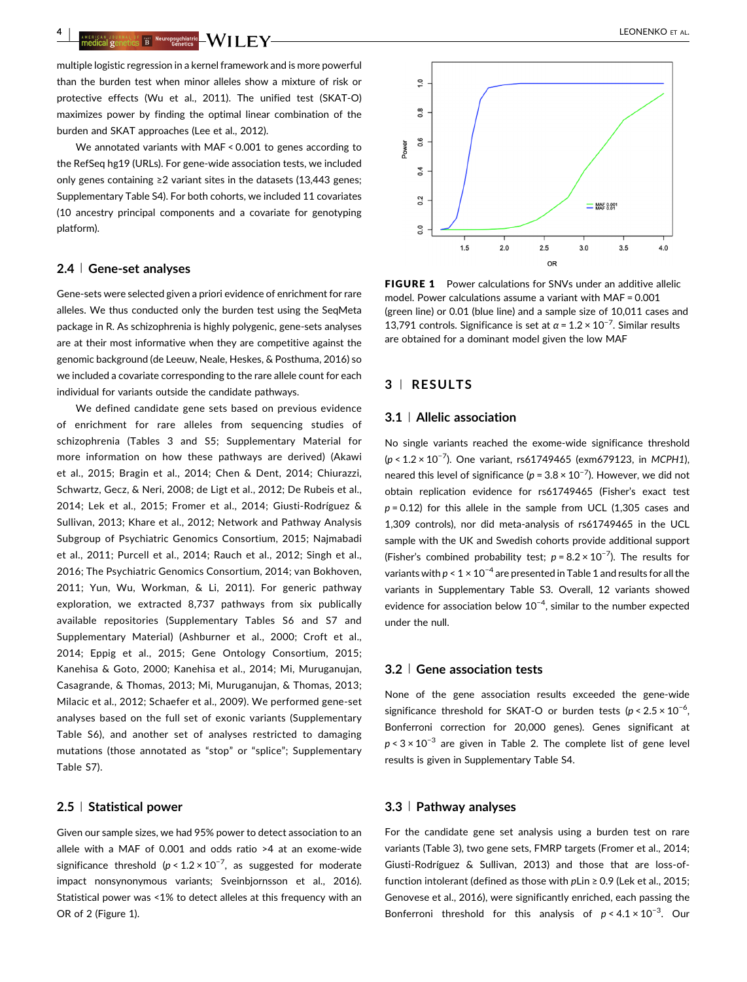<sup>4</sup> <sup>|</sup> LEONENKO ET AL.

multiple logistic regression in a kernel framework and is more powerful than the burden test when minor alleles show a mixture of risk or protective effects (Wu et al., [2011](#page-7-0)). The unified test (SKAT-O) maximizes power by finding the optimal linear combination of the burden and SKAT approaches (Lee et al., [2012](#page-6-0)).

We annotated variants with MAF < 0.001 to genes according to the RefSeq hg19 (URLs). For gene-wide association tests, we included only genes containing ≥2 variant sites in the datasets (13,443 genes; Supplementary Table S4). For both cohorts, we included 11 covariates (10 ancestry principal components and a covariate for genotyping platform).

## 2.4 <sup>|</sup> Gene-set analyses

Gene-sets were selected given a priori evidence of enrichment for rare alleles. We thus conducted only the burden test using the SeqMeta package in R. As schizophrenia is highly polygenic, gene-sets analyses are at their most informative when they are competitive against the genomic background (de Leeuw, Neale, Heskes, & Posthuma, [2016\)](#page-6-0) so we included a covariate corresponding to the rare allele count for each individual for variants outside the candidate pathways.

We defined candidate gene sets based on previous evidence of enrichment for rare alleles from sequencing studies of schizophrenia (Tables [3](#page-5-0) and S5; Supplementary Material for more information on how these pathways are derived) (Akawi et al., [2015](#page-6-0); Bragin et al., [2014](#page-6-0); Chen & Dent, [2014](#page-6-0); Chiurazzi, Schwartz, Gecz, & Neri, [2008](#page-6-0); de Ligt et al., [2012](#page-6-0); De Rubeis et al., [2014;](#page-6-0) Lek et al., [2015](#page-6-0); Fromer et al., [2014;](#page-6-0) Giusti-Rodríguez & Sullivan, [2013;](#page-6-0) Khare et al., [2012;](#page-6-0) Network and Pathway Analysis Subgroup of Psychiatric Genomics Consortium, [2015](#page-7-0); Najmabadi et al., [2011](#page-7-0); Purcell et al., [2014](#page-7-0); Rauch et al., [2012](#page-7-0); Singh et al., [2016;](#page-7-0) The Psychiatric Genomics Consortium, [2014](#page-7-0); van Bokhoven, [2011;](#page-7-0) Yun, Wu, Workman, & Li, [2011\)](#page-7-0). For generic pathway exploration, we extracted 8,737 pathways from six publically available repositories (Supplementary Tables S6 and S7 and Supplementary Material) (Ashburner et al., [2000;](#page-6-0) Croft et al., [2014;](#page-6-0) Eppig et al., [2015](#page-6-0); Gene Ontology Consortium, [2015](#page-6-0); Kanehisa & Goto, [2000](#page-6-0); Kanehisa et al., [2014](#page-6-0); Mi, Muruganujan, Casagrande, & Thomas, [2013](#page-7-0); Mi, Muruganujan, & Thomas, [2013](#page-7-0); Milacic et al., [2012;](#page-7-0) Schaefer et al., [2009](#page-7-0)). We performed gene-set analyses based on the full set of exonic variants (Supplementary Table S6), and another set of analyses restricted to damaging mutations (those annotated as "stop" or "splice"; Supplementary Table S7).

#### 2.5 <sup>|</sup> Statistical power

Given our sample sizes, we had 95% power to detect association to an allele with a MAF of 0.001 and odds ratio >4 at an exome-wide significance threshold ( $p < 1.2 \times 10^{-7}$ , as suggested for moderate impact nonsynonymous variants; Sveinbjornsson et al., [2016](#page-7-0)). Statistical power was <1% to detect alleles at this frequency with an OR of 2 (Figure 1).



FIGURE 1 Power calculations for SNVs under an additive allelic model. Power calculations assume a variant with MAF = 0.001 (green line) or 0.01 (blue line) and a sample size of 10,011 cases and 13,791 controls. Significance is set at  $\alpha$  = 1.2 × 10<sup>-7</sup>. Similar results are obtained for a dominant model given the low MAF

## 3 <sup>|</sup> RESULTS

#### 3.1 <sup>|</sup> Allelic association

No single variants reached the exome-wide significance threshold (p < 1.2 × 10<sup>-7</sup>). One variant, rs61749465 (exm679123, in MCPH1), neared this level of significance ( $p = 3.8 \times 10^{-7}$ ). However, we did not obtain replication evidence for rs61749465 (Fisher's exact test  $p = 0.12$ ) for this allele in the sample from UCL (1,305 cases and 1,309 controls), nor did meta-analysis of rs61749465 in the UCL sample with the UK and Swedish cohorts provide additional support (Fisher's combined probability test;  $p = 8.2 \times 10^{-7}$ ). The results for variants with  $p < 1 \times 10^{-4}$  $p < 1 \times 10^{-4}$  $p < 1 \times 10^{-4}$  are presented in Table 1 and results for all the variants in Supplementary Table S3. Overall, 12 variants showed evidence for association below  $10^{-4}$ , similar to the number expected under the null.

## 3.2 <sup>|</sup> Gene association tests

None of the gene association results exceeded the gene-wide significance threshold for SKAT-O or burden tests ( $p < 2.5 \times 10^{-6}$ , Bonferroni correction for 20,000 genes). Genes significant at  $p < 3 \times 10^{-3}$  are given in Table [2.](#page-4-0) The complete list of gene level results is given in Supplementary Table S4.

#### 3.3 <sup>|</sup> Pathway analyses

For the candidate gene set analysis using a burden test on rare variants (Table [3\)](#page-5-0), two gene sets, FMRP targets (Fromer et al., [2014;](#page-6-0) Giusti-Rodríguez & Sullivan, [2013](#page-6-0)) and those that are loss-offunction intolerant (defined as those with  $p$ Lin  $\geq$  0.9 (Lek et al., [2015;](#page-6-0) Genovese et al., [2016\)](#page-6-0), were significantly enriched, each passing the Bonferroni threshold for this analysis of  $p < 4.1 \times 10^{-3}$ . Our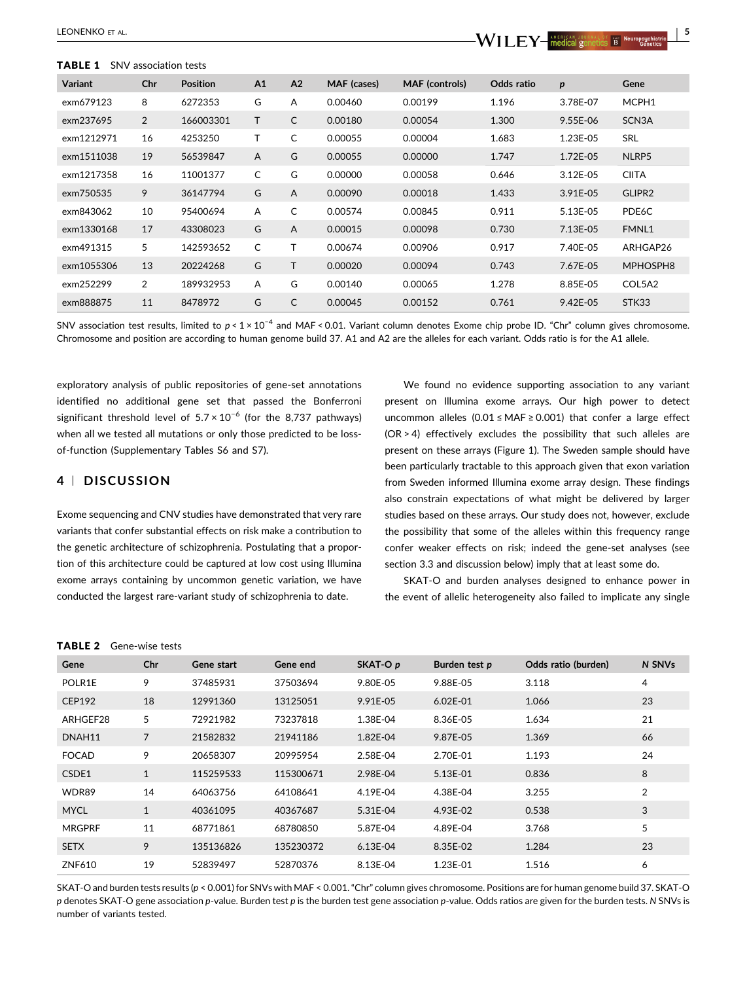#### <span id="page-4-0"></span>TABLE 1 SNV association tests

| <b>Variant</b> | Chr            | <b>Position</b> | A1           | A2             | MAF (cases) | <b>MAF</b> (controls) | Odds ratio | p        | Gene               |
|----------------|----------------|-----------------|--------------|----------------|-------------|-----------------------|------------|----------|--------------------|
| exm679123      | 8              | 6272353         | G            | A              | 0.00460     | 0.00199               | 1.196      | 3.78E-07 | MCPH1              |
| exm237695      | $\overline{2}$ | 166003301       | T            | C              | 0.00180     | 0.00054               | 1.300      | 9.55E-06 | SCN <sub>3</sub> A |
| exm1212971     | 16             | 4253250         | T            | C              | 0.00055     | 0.00004               | 1.683      | 1.23E-05 | <b>SRL</b>         |
| exm1511038     | 19             | 56539847        | $\mathsf{A}$ | G              | 0.00055     | 0.00000               | 1.747      | 1.72E-05 | NLRP5              |
| exm1217358     | 16             | 11001377        | C            | G              | 0.00000     | 0.00058               | 0.646      | 3.12E-05 | <b>CIITA</b>       |
| exm750535      | 9              | 36147794        | G            | $\overline{A}$ | 0.00090     | 0.00018               | 1.433      | 3.91E-05 | GLIPR2             |
| exm843062      | 10             | 95400694        | A            | C              | 0.00574     | 0.00845               | 0.911      | 5.13E-05 | PDE6C              |
| exm1330168     | 17             | 43308023        | G            | $\overline{A}$ | 0.00015     | 0.00098               | 0.730      | 7.13E-05 | FMNL1              |
| exm491315      | 5              | 142593652       | C            |                | 0.00674     | 0.00906               | 0.917      | 7.40E-05 | ARHGAP26           |
| exm1055306     | 13             | 20224268        | G            | т              | 0.00020     | 0.00094               | 0.743      | 7.67E-05 | MPHOSPH8           |
| exm252299      | $\overline{2}$ | 189932953       | A            | G              | 0.00140     | 0.00065               | 1.278      | 8.85E-05 | COL5A2             |
| exm888875      | 11             | 8478972         | G            | C              | 0.00045     | 0.00152               | 0.761      | 9.42E-05 | STK33              |

SNV association test results, limited to  $p < 1 \times 10^{-4}$  and MAF < 0.01. Variant column denotes Exome chip probe ID. "Chr" column gives chromosome. Chromosome and position are according to human genome build 37. A1 and A2 are the alleles for each variant. Odds ratio is for the A1 allele.

exploratory analysis of public repositories of gene-set annotations identified no additional gene set that passed the Bonferroni significant threshold level of  $5.7 \times 10^{-6}$  (for the 8,737 pathways) when all we tested all mutations or only those predicted to be lossof-function (Supplementary Tables S6 and S7).

## 4 <sup>|</sup> DISCUSSION

Exome sequencing and CNV studies have demonstrated that very rare variants that confer substantial effects on risk make a contribution to the genetic architecture of schizophrenia. Postulating that a proportion of this architecture could be captured at low cost using Illumina exome arrays containing by uncommon genetic variation, we have conducted the largest rare-variant study of schizophrenia to date.

We found no evidence supporting association to any variant present on Illumina exome arrays. Our high power to detect uncommon alleles (0.01 ≤ MAF ≥ 0.001) that confer a large effect (OR > 4) effectively excludes the possibility that such alleles are present on these arrays (Figure 1). The Sweden sample should have been particularly tractable to this approach given that exon variation from Sweden informed Illumina exome array design. These findings also constrain expectations of what might be delivered by larger studies based on these arrays. Our study does not, however, exclude the possibility that some of the alleles within this frequency range confer weaker effects on risk; indeed the gene-set analyses (see section 3.3 and discussion below) imply that at least some do.

SKAT-O and burden analyses designed to enhance power in the event of allelic heterogeneity also failed to implicate any single

| Gene          | Chr            | Gene start | Gene end  | SKAT-O p   | Burden test p | Odds ratio (burden) | N SNVs |
|---------------|----------------|------------|-----------|------------|---------------|---------------------|--------|
| POLR1E        | 9              | 37485931   | 37503694  | 9.80E-05   | 9.88E-05      | 3.118               | 4      |
| <b>CEP192</b> | 18             | 12991360   | 13125051  | 9.91E-05   | $6.02E - 01$  | 1.066               | 23     |
| ARHGEF28      | 5              | 72921982   | 73237818  | 1.38E-04   | 8.36E-05      | 1.634               | 21     |
| DNAH11        | $\overline{7}$ | 21582832   | 21941186  | 1.82E-04   | 9.87E-05      | 1.369               | 66     |
| <b>FOCAD</b>  | 9              | 20658307   | 20995954  | 2.58E-04   | 2.70E-01      | 1.193               | 24     |
| CSDE1         | $\mathbf{1}$   | 115259533  | 115300671 | 2.98E-04   | 5.13E-01      | 0.836               | 8      |
| WDR89         | 14             | 64063756   | 64108641  | 4.19E-04   | 4.38E-04      | 3.255               | 2      |
| <b>MYCL</b>   | $\mathbf{1}$   | 40361095   | 40367687  | 5.31E-04   | 4.93E-02      | 0.538               | 3      |
| <b>MRGPRF</b> | 11             | 68771861   | 68780850  | 5.87E-04   | 4.89E-04      | 3.768               | 5      |
| <b>SETX</b>   | 9              | 135136826  | 135230372 | $6.13E-04$ | 8.35E-02      | 1.284               | 23     |
| ZNF610        | 19             | 52839497   | 52870376  | 8.13E-04   | 1.23E-01      | 1.516               | 6      |

TABLE 2 Gene-wise tests

SKAT-O and burden tests results (p < 0.001) for SNVs with MAF < 0.001."Chr" column gives chromosome. Positions are for human genome build 37. SKAT-O p denotes SKAT-O gene association p-value. Burden test p is the burden test gene association p-value. Odds ratios are given for the burden tests. N SNVs is number of variants tested.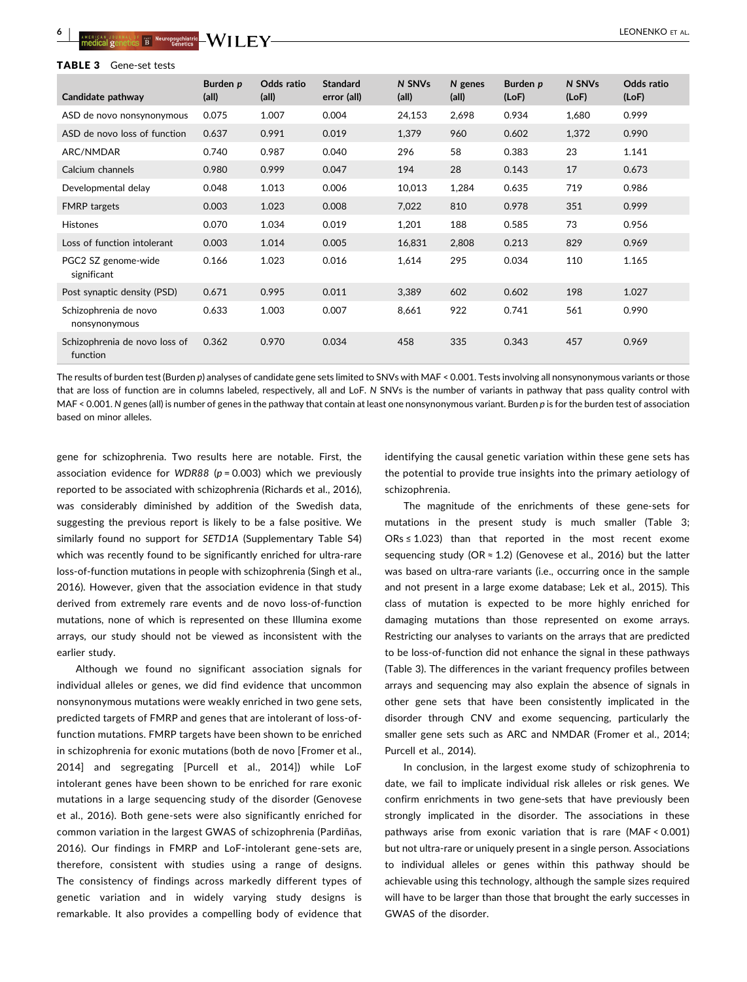<span id="page-5-0"></span>

| Candidate pathway                         | Burden p<br>(all) | Odds ratio<br>(all) | <b>Standard</b><br>error (all) | N SNVs<br>(all) | N genes<br>(all) | Burden p<br>(LoF) | N SNVs<br>(LoF) | Odds ratio<br>(LoF) |
|-------------------------------------------|-------------------|---------------------|--------------------------------|-----------------|------------------|-------------------|-----------------|---------------------|
| ASD de novo nonsynonymous                 | 0.075             | 1.007               | 0.004                          | 24,153          | 2,698            | 0.934             | 1,680           | 0.999               |
| ASD de novo loss of function              | 0.637             | 0.991               | 0.019                          | 1,379           | 960              | 0.602             | 1,372           | 0.990               |
| ARC/NMDAR                                 | 0.740             | 0.987               | 0.040                          | 296             | 58               | 0.383             | 23              | 1.141               |
| Calcium channels                          | 0.980             | 0.999               | 0.047                          | 194             | 28               | 0.143             | 17              | 0.673               |
| Developmental delay                       | 0.048             | 1.013               | 0.006                          | 10,013          | 1,284            | 0.635             | 719             | 0.986               |
| <b>FMRP</b> targets                       | 0.003             | 1.023               | 0.008                          | 7,022           | 810              | 0.978             | 351             | 0.999               |
| <b>Histones</b>                           | 0.070             | 1.034               | 0.019                          | 1,201           | 188              | 0.585             | 73              | 0.956               |
| Loss of function intolerant               | 0.003             | 1.014               | 0.005                          | 16,831          | 2,808            | 0.213             | 829             | 0.969               |
| PGC2 SZ genome-wide<br>significant        | 0.166             | 1.023               | 0.016                          | 1,614           | 295              | 0.034             | 110             | 1.165               |
| Post synaptic density (PSD)               | 0.671             | 0.995               | 0.011                          | 3,389           | 602              | 0.602             | 198             | 1.027               |
| Schizophrenia de novo<br>nonsynonymous    | 0.633             | 1.003               | 0.007                          | 8,661           | 922              | 0.741             | 561             | 0.990               |
| Schizophrenia de novo loss of<br>function | 0.362             | 0.970               | 0.034                          | 458             | 335              | 0.343             | 457             | 0.969               |

The results of burden test (Burden p) analyses of candidate gene sets limited to SNVs with MAF < 0.001. Tests involving all nonsynonymous variants or those that are loss of function are in columns labeled, respectively, all and LoF. N SNVs is the number of variants in pathway that pass quality control with MAF < 0.001. N genes (all) is number of genes in the pathway that contain at least one nonsynonymous variant. Burden p is for the burden test of association based on minor alleles.

gene for schizophrenia. Two results here are notable. First, the association evidence for WDR88 ( $p = 0.003$ ) which we previously reported to be associated with schizophrenia (Richards et al., [2016](#page-7-0)), was considerably diminished by addition of the Swedish data, suggesting the previous report is likely to be a false positive. We similarly found no support for SETD1A (Supplementary Table S4) which was recently found to be significantly enriched for ultra-rare loss-of-function mutations in people with schizophrenia (Singh et al., [2016](#page-7-0)). However, given that the association evidence in that study derived from extremely rare events and de novo loss-of-function mutations, none of which is represented on these Illumina exome arrays, our study should not be viewed as inconsistent with the earlier study.

Although we found no significant association signals for individual alleles or genes, we did find evidence that uncommon nonsynonymous mutations were weakly enriched in two gene sets, predicted targets of FMRP and genes that are intolerant of loss-offunction mutations. FMRP targets have been shown to be enriched in schizophrenia for exonic mutations (both de novo [Fromer et al., [2014\]](#page-6-0) and segregating [Purcell et al., [2014\]](#page-7-0)) while LoF intolerant genes have been shown to be enriched for rare exonic mutations in a large sequencing study of the disorder (Genovese et al., [2016\)](#page-6-0). Both gene-sets were also significantly enriched for common variation in the largest GWAS of schizophrenia (Pardiñas, [2016\)](#page-7-0). Our findings in FMRP and LoF-intolerant gene-sets are, therefore, consistent with studies using a range of designs. The consistency of findings across markedly different types of genetic variation and in widely varying study designs is remarkable. It also provides a compelling body of evidence that

identifying the causal genetic variation within these gene sets has the potential to provide true insights into the primary aetiology of schizophrenia.

The magnitude of the enrichments of these gene-sets for mutations in the present study is much smaller (Table 3;  $ORS \leq 1.023$ ) than that reported in the most recent exome sequencing study (OR  $\approx$  1.2) (Genovese et al., [2016](#page-6-0)) but the latter was based on ultra-rare variants (i.e., occurring once in the sample and not present in a large exome database; Lek et al., [2015\)](#page-6-0). This class of mutation is expected to be more highly enriched for damaging mutations than those represented on exome arrays. Restricting our analyses to variants on the arrays that are predicted to be loss-of-function did not enhance the signal in these pathways (Table 3). The differences in the variant frequency profiles between arrays and sequencing may also explain the absence of signals in other gene sets that have been consistently implicated in the disorder through CNV and exome sequencing, particularly the smaller gene sets such as ARC and NMDAR (Fromer et al., [2014;](#page-6-0) Purcell et al., [2014](#page-7-0)).

In conclusion, in the largest exome study of schizophrenia to date, we fail to implicate individual risk alleles or risk genes. We confirm enrichments in two gene-sets that have previously been strongly implicated in the disorder. The associations in these pathways arise from exonic variation that is rare (MAF < 0.001) but not ultra-rare or uniquely present in a single person. Associations to individual alleles or genes within this pathway should be achievable using this technology, although the sample sizes required will have to be larger than those that brought the early successes in GWAS of the disorder.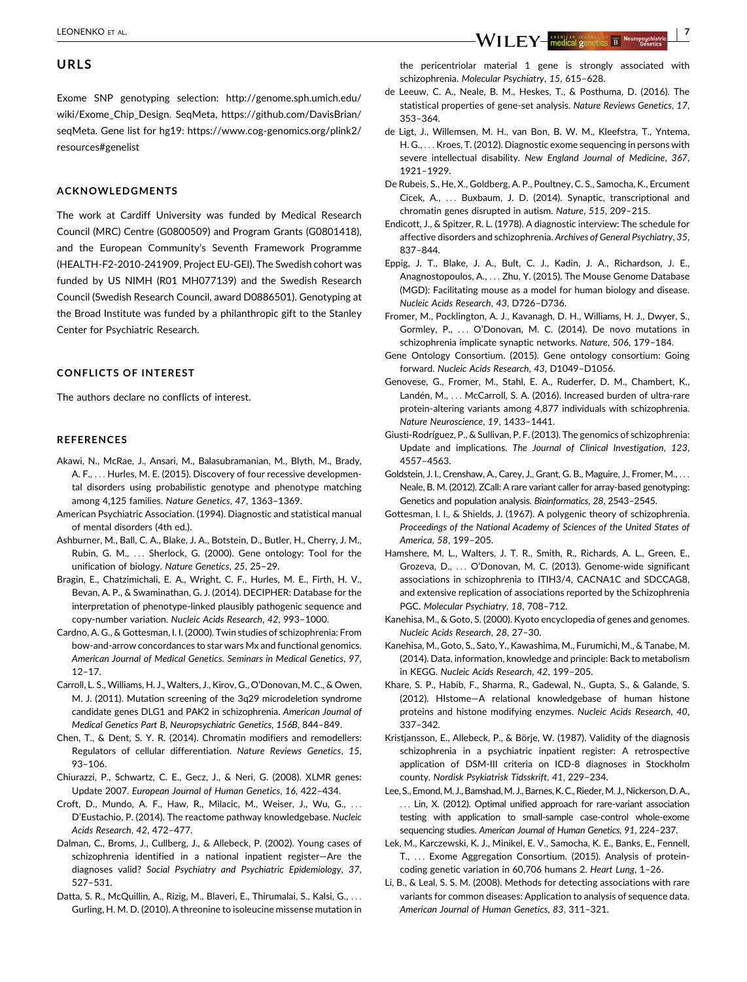## <span id="page-6-0"></span>URLS

Exome SNP genotyping selection: [http://genome.sph.umich.edu/](http://genome.sph.umich.edu/wiki/Exome_Chip_Design) [wiki/Exome\\_Chip\\_Design.](http://genome.sph.umich.edu/wiki/Exome_Chip_Design) SeqMeta, [https://github.com/DavisBrian/](https://github.com/DavisBrian/seqMeta) [seqMeta](https://github.com/DavisBrian/seqMeta). Gene list for hg19: [https://www.cog-genomics.org/plink2/](https://www.cog-genomics.org/plink2/resources) [resources#genelist](https://www.cog-genomics.org/plink2/resources)

## ACKNOWLEDGMENTS

The work at Cardiff University was funded by Medical Research Council (MRC) Centre (G0800509) and Program Grants (G0801418), and the European Community's Seventh Framework Programme (HEALTH-F2-2010-241909, Project EU-GEI). The Swedish cohort was funded by US NIMH (R01 MH077139) and the Swedish Research Council (Swedish Research Council, award D0886501). Genotyping at the Broad Institute was funded by a philanthropic gift to the Stanley Center for Psychiatric Research.

## CONFLICTS OF INTEREST

The authors declare no conflicts of interest.

#### **REFERENCES**

- Akawi, N., McRae, J., Ansari, M., Balasubramanian, M., Blyth, M., Brady, A. F., ... Hurles, M. E. (2015). Discovery of four recessive developmental disorders using probabilistic genotype and phenotype matching among 4,125 families. Nature Genetics, 47, 1363–1369.
- American Psychiatric Association. (1994). Diagnostic and statistical manual of mental disorders (4th ed.).
- Ashburner, M., Ball, C. A., Blake, J. A., Botstein, D., Butler, H., Cherry, J. M., Rubin, G. M., ... Sherlock, G. (2000). Gene ontology: Tool for the unification of biology. Nature Genetics, 25, 25–29.
- Bragin, E., Chatzimichali, E. A., Wright, C. F., Hurles, M. E., Firth, H. V., Bevan, A. P., & Swaminathan, G. J. (2014). DECIPHER: Database for the interpretation of phenotype-linked plausibly pathogenic sequence and copy-number variation. Nucleic Acids Research, 42, 993–1000.
- Cardno, A. G., & Gottesman, I. I. (2000). Twin studies of schizophrenia: From bow-and-arrow concordances to star wars Mx and functional genomics. American Journal of Medical Genetics. Seminars in Medical Genetics, 97,  $12 - 17$
- Carroll, L. S.,Williams, H. J., Walters, J., Kirov, G., O'Donovan, M. C., & Owen, M. J. (2011). Mutation screening of the 3q29 microdeletion syndrome candidate genes DLG1 and PAK2 in schizophrenia. American Journal of Medical Genetics Part B, Neuropsychiatric Genetics, 156B, 844–849.
- Chen, T., & Dent, S. Y. R. (2014). Chromatin modifiers and remodellers: Regulators of cellular differentiation. Nature Reviews Genetics, 15, 93–106.
- Chiurazzi, P., Schwartz, C. E., Gecz, J., & Neri, G. (2008). XLMR genes: Update 2007. European Journal of Human Genetics, 16, 422–434.
- Croft, D., Mundo, A. F., Haw, R., Milacic, M., Weiser, J., Wu, G., ... D'Eustachio, P. (2014). The reactome pathway knowledgebase. Nucleic Acids Research, 42, 472–477.
- Dalman, C., Broms, J., Cullberg, J., & Allebeck, P. (2002). Young cases of schizophrenia identified in a national inpatient register—Are the diagnoses valid? Social Psychiatry and Psychiatric Epidemiology, 37, 527–531.
- Datta, S. R., McQuillin, A., Rizig, M., Blaveri, E., Thirumalai, S., Kalsi, G., ... Gurling, H. M. D. (2010). A threonine to isoleucine missense mutation in

the pericentriolar material 1 gene is strongly associated with schizophrenia. Molecular Psychiatry, 15, 615–628.

- de Leeuw, C. A., Neale, B. M., Heskes, T., & Posthuma, D. (2016). The statistical properties of gene-set analysis. Nature Reviews Genetics, 17, 353–364.
- de Ligt, J., Willemsen, M. H., van Bon, B. W. M., Kleefstra, T., Yntema, H. G., ... Kroes, T. (2012). Diagnostic exome sequencing in persons with severe intellectual disability. New England Journal of Medicine, 367, 1921–1929.
- De Rubeis, S., He, X., Goldberg, A. P., Poultney, C. S., Samocha, K., Ercument Cicek, A., ... Buxbaum, J. D. (2014). Synaptic, transcriptional and chromatin genes disrupted in autism. Nature, 515, 209–215.
- Endicott, J., & Spitzer, R. L. (1978). A diagnostic interview: The schedule for affective disorders and schizophrenia. Archives of General Psychiatry, 35, 837–844.
- Eppig, J. T., Blake, J. A., Bult, C. J., Kadin, J. A., Richardson, J. E., Anagnostopoulos, A., ... Zhu, Y. (2015). The Mouse Genome Database (MGD): Facilitating mouse as a model for human biology and disease. Nucleic Acids Research, 43, D726–D736.
- Fromer, M., Pocklington, A. J., Kavanagh, D. H., Williams, H. J., Dwyer, S., Gormley, P., ... O'Donovan, M. C. (2014). De novo mutations in schizophrenia implicate synaptic networks. Nature, 506, 179–184.
- Gene Ontology Consortium. (2015). Gene ontology consortium: Going forward. Nucleic Acids Research, 43, D1049–D1056.
- Genovese, G., Fromer, M., Stahl, E. A., Ruderfer, D. M., Chambert, K., Landén, M., ... McCarroll, S. A. (2016). Increased burden of ultra-rare protein-altering variants among 4,877 individuals with schizophrenia. Nature Neuroscience, 19, 1433–1441.
- Giusti-Rodríguez, P., & Sullivan, P. F. (2013). The genomics of schizophrenia: Update and implications. The Journal of Clinical Investigation, 123, 4557–4563.
- Goldstein, J. I., Crenshaw, A., Carey, J., Grant, G. B., Maguire, J., Fromer, M., ... Neale, B. M. (2012). ZCall: A rare variant caller for array-based genotyping: Genetics and population analysis. Bioinformatics, 28, 2543–2545.
- Gottesman, I. I., & Shields, J. (1967). A polygenic theory of schizophrenia. Proceedings of the National Academy of Sciences of the United States of America, 58, 199–205.
- Hamshere, M. L., Walters, J. T. R., Smith, R., Richards, A. L., Green, E., Grozeva, D., ... O'Donovan, M. C. (2013). Genome-wide significant associations in schizophrenia to ITIH3/4, CACNA1C and SDCCAG8, and extensive replication of associations reported by the Schizophrenia PGC. Molecular Psychiatry, 18, 708–712.
- Kanehisa, M., & Goto, S. (2000). Kyoto encyclopedia of genes and genomes. Nucleic Acids Research, 28, 27–30.
- Kanehisa, M., Goto, S., Sato, Y., Kawashima, M., Furumichi, M., & Tanabe, M. (2014). Data, information, knowledge and principle: Back to metabolism in KEGG. Nucleic Acids Research, 42, 199–205.
- Khare, S. P., Habib, F., Sharma, R., Gadewal, N., Gupta, S., & Galande, S. (2012). HIstome—A relational knowledgebase of human histone proteins and histone modifying enzymes. Nucleic Acids Research, 40, 337–342.
- Kristjansson, E., Allebeck, P., & Börje, W. (1987). Validity of the diagnosis schizophrenia in a psychiatric inpatient register: A retrospective application of DSM-III criteria on ICD-8 diagnoses in Stockholm county. Nordisk Psykiatrisk Tidsskrift, 41, 229–234.
- Lee, S., Emond, M. J., Bamshad, M. J., Barnes, K. C., Rieder, M. J., Nickerson, D. A., ... Lin, X. (2012). Optimal unified approach for rare-variant association testing with application to small-sample case-control whole-exome sequencing studies. American Journal of Human Genetics, 91, 224–237.
- Lek, M., Karczewski, K. J., Minikel, E. V., Samocha, K. E., Banks, E., Fennell, T., ... Exome Aggregation Consortium. (2015). Analysis of proteincoding genetic variation in 60,706 humans 2. Heart Lung, 1–26.
- Li, B., & Leal, S. S. M. (2008). Methods for detecting associations with rare variants for common diseases: Application to analysis of sequence data. American Journal of Human Genetics, 83, 311–321.